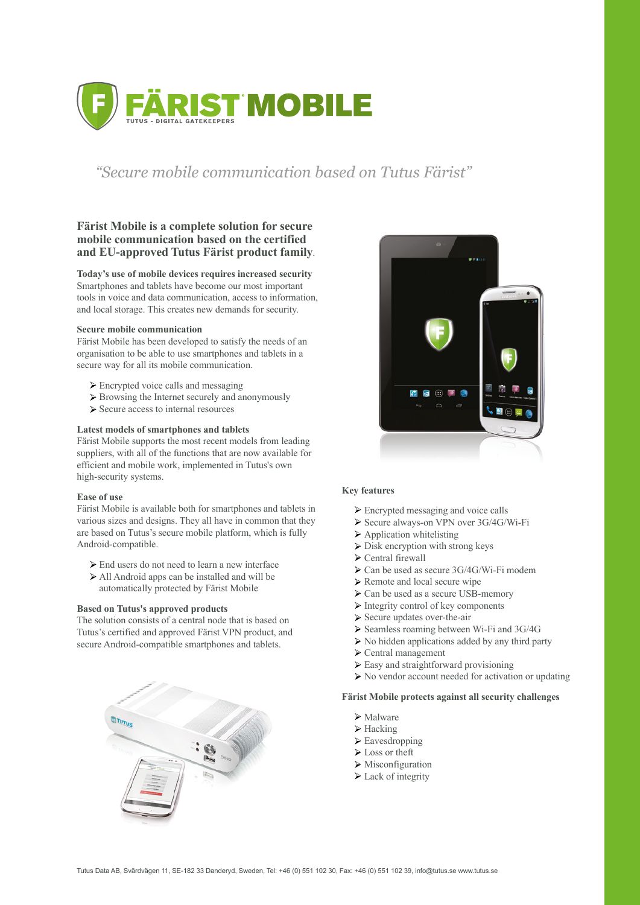Tutus Data AB, Svärdvägen 11, SE-182 33 Danderyd, Sweden, Tel: +46 (0) 551 102 30, Fax: +46 (0) 551 102 39, info@tutus.se www.tutus.se



# *"Secure mobile communication based on Tutus Färist"*

# **Färist Mobile is a complete solution for secure mobile communication based on the certified and EU-approved Tutus Färist product family**.

#### **Today's use of mobile devices requires increased security**

Smartphones and tablets have become our most important tools in voice and data communication, access to information, and local storage. This creates new demands for security.

#### **Secure mobile communication**

Färist Mobile has been developed to satisfy the needs of an organisation to be able to use smartphones and tablets in a secure way for all its mobile communication.

- $\triangleright$  Encrypted voice calls and messaging
- $\triangleright$  Browsing the Internet securely and anonymously
- $\triangleright$  Secure access to internal resources

- Encrypted messaging and voice calls
- Secure always-on VPN over 3G/4G/Wi-Fi
- $\triangleright$  Application whitelisting
- $\triangleright$  Disk encryption with strong keys
- $\triangleright$  Central firewall
- $\triangleright$  Can be used as secure 3G/4G/Wi-Fi modem
- $\triangleright$  Remote and local secure wipe
- $\triangleright$  Can be used as a secure USB-memory
- $\triangleright$  Integrity control of key components
- $\triangleright$  Secure updates over-the-air
- $\triangleright$  Seamless roaming between Wi-Fi and 3G/4G
- $\triangleright$  No hidden applications added by any third party
- $\triangleright$  Central management
- $\triangleright$  Easy and straightforward provisioning
- $\triangleright$  No vendor account needed for activation or updating



# **Latest models of smartphones and tablets**

Färist Mobile supports the most recent models from leading suppliers, with all of the functions that are now available for efficient and mobile work, implemented in Tutus's own high-security systems.

# **Ease of use**

Färist Mobile is available both for smartphones and tablets in various sizes and designs. They all have in common that they are based on Tutus's secure mobile platform, which is fully Android-compatible.

- End users do not need to learn a new interface
- All Android apps can be installed and will be automatically protected by Färist Mobile

# **Based on Tutus's approved products**

The solution consists of a central node that is based on Tutus's certified and approved Färist VPN product, and secure Android-compatible smartphones and tablets.



# **Key features**

**Färist Mobile protects against all security challenges**

- **≻** Malware
- $\triangleright$  Hacking
- $\triangleright$  Eavesdropping
- Loss or theft
- $\triangleright$  Misconfiguration
- $\triangleright$  Lack of integrity